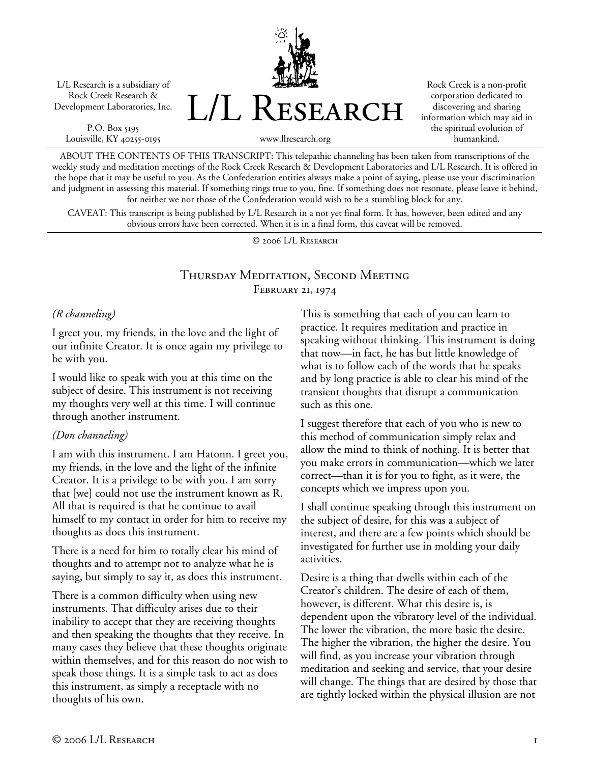L/L Research is a subsidiary of Rock Creek Research & Development Laboratories, Inc.

P.O. Box 5195 Louisville, KY 40255-0195 L/L Research

Rock Creek is a non-profit corporation dedicated to discovering and sharing information which may aid in the spiritual evolution of humankind.

www.llresearch.org

ABOUT THE CONTENTS OF THIS TRANSCRIPT: This telepathic channeling has been taken from transcriptions of the weekly study and meditation meetings of the Rock Creek Research & Development Laboratories and L/L Research. It is offered in the hope that it may be useful to you. As the Confederation entities always make a point of saying, please use your discrimination and judgment in assessing this material. If something rings true to you, fine. If something does not resonate, please leave it behind, for neither we nor those of the Confederation would wish to be a stumbling block for any.

CAVEAT: This transcript is being published by L/L Research in a not yet final form. It has, however, been edited and any obvious errors have been corrected. When it is in a final form, this caveat will be removed.

© 2006 L/L Research

## Thursday Meditation, Second Meeting FEBRUARY 21, 1974

## *(R channeling)*

I greet you, my friends, in the love and the light of our infinite Creator. It is once again my privilege to be with you.

I would like to speak with you at this time on the subject of desire. This instrument is not receiving my thoughts very well at this time. I will continue through another instrument.

## *(Don channeling)*

I am with this instrument. I am Hatonn. I greet you, my friends, in the love and the light of the infinite Creator. It is a privilege to be with you. I am sorry that [we] could not use the instrument known as R. All that is required is that he continue to avail himself to my contact in order for him to receive my thoughts as does this instrument.

There is a need for him to totally clear his mind of thoughts and to attempt not to analyze what he is saying, but simply to say it, as does this instrument.

There is a common difficulty when using new instruments. That difficulty arises due to their inability to accept that they are receiving thoughts and then speaking the thoughts that they receive. In many cases they believe that these thoughts originate within themselves, and for this reason do not wish to speak those things. It is a simple task to act as does this instrument, as simply a receptacle with no thoughts of his own.

This is something that each of you can learn to practice. It requires meditation and practice in speaking without thinking. This instrument is doing that now—in fact, he has but little knowledge of what is to follow each of the words that he speaks and by long practice is able to clear his mind of the transient thoughts that disrupt a communication such as this one.

I suggest therefore that each of you who is new to this method of communication simply relax and allow the mind to think of nothing. It is better that you make errors in communication—which we later correct—than it is for you to fight, as it were, the concepts which we impress upon you.

I shall continue speaking through this instrument on the subject of desire, for this was a subject of interest, and there are a few points which should be investigated for further use in molding your daily activities.

Desire is a thing that dwells within each of the Creator's children. The desire of each of them, however, is different. What this desire is, is dependent upon the vibratory level of the individual. The lower the vibration, the more basic the desire. The higher the vibration, the higher the desire. You will find, as you increase your vibration through meditation and seeking and service, that your desire will change. The things that are desired by those that are tightly locked within the physical illusion are not